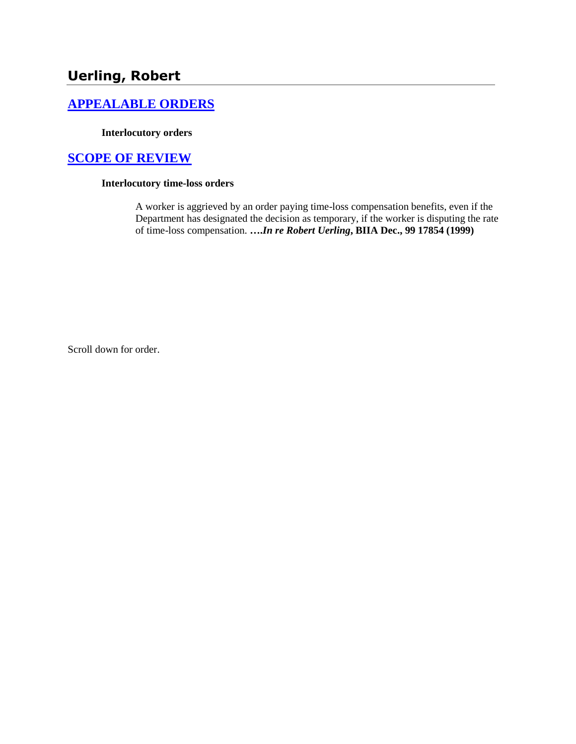# **Uerling, Robert**

## **[APPEALABLE ORDERS](http://www.biia.wa.gov/SDSubjectIndex.html#APPEALABLE_ORDERS)**

#### **Interlocutory orders**

## **[SCOPE OF REVIEW](http://www.biia.wa.gov/SDSubjectIndex.html#SCOPE_OF_REVIEW)**

### **Interlocutory time-loss orders**

A worker is aggrieved by an order paying time-loss compensation benefits, even if the Department has designated the decision as temporary, if the worker is disputing the rate of time-loss compensation. **….***In re Robert Uerling***, BIIA Dec., 99 17854 (1999)** 

Scroll down for order.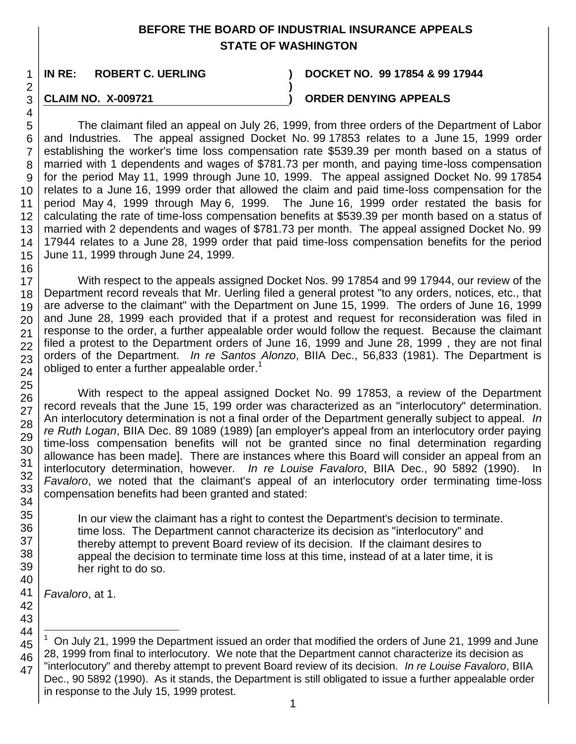## **BEFORE THE BOARD OF INDUSTRIAL INSURANCE APPEALS STATE OF WASHINGTON**

**IN RE: ROBERT C. UERLING ) DOCKET NO. 99 17854 & 99 17944**

## **CLAIM NO. X-009721 ) ORDER DENYING APPEALS**

5 6 7 8 9 10 11 12 13 14 15 The claimant filed an appeal on July 26, 1999, from three orders of the Department of Labor and Industries. The appeal assigned Docket No. 99 17853 relates to a June 15, 1999 order establishing the worker's time loss compensation rate \$539.39 per month based on a status of married with 1 dependents and wages of \$781.73 per month, and paying time-loss compensation for the period May 11, 1999 through June 10, 1999. The appeal assigned Docket No. 99 17854 relates to a June 16, 1999 order that allowed the claim and paid time-loss compensation for the period May 4, 1999 through May 6, 1999. The June 16, 1999 order restated the basis for calculating the rate of time-loss compensation benefits at \$539.39 per month based on a status of married with 2 dependents and wages of \$781.73 per month. The appeal assigned Docket No. 99 17944 relates to a June 28, 1999 order that paid time-loss compensation benefits for the period June 11, 1999 through June 24, 1999.

**)**

16 17 18 19 20 21 22 23 24 With respect to the appeals assigned Docket Nos. 99 17854 and 99 17944, our review of the Department record reveals that Mr. Uerling filed a general protest "to any orders, notices, etc., that are adverse to the claimant" with the Department on June 15, 1999. The orders of June 16, 1999 and June 28, 1999 each provided that if a protest and request for reconsideration was filed in response to the order, a further appealable order would follow the request. Because the claimant filed a protest to the Department orders of June 16, 1999 and June 28, 1999 , they are not final orders of the Department. *In re Santos Alonzo*, BIIA Dec., 56,833 (1981). The Department is obliged to enter a further appealable order.<sup>1</sup>

25 26 27 28 29 30 31 32 33 34 With respect to the appeal assigned Docket No. 99 17853, a review of the Department record reveals that the June 15, 199 order was characterized as an "interlocutory" determination. An interlocutory determination is not a final order of the Department generally subject to appeal. *In re Ruth Logan*, BIIA Dec. 89 1089 (1989) [an employer's appeal from an interlocutory order paying time-loss compensation benefits will not be granted since no final determination regarding allowance has been made]. There are instances where this Board will consider an appeal from an interlocutory determination, however. *In re Louise Favaloro*, BIIA Dec., 90 5892 (1990). *Favaloro*, we noted that the claimant's appeal of an interlocutory order terminating time-loss compensation benefits had been granted and stated:

> In our view the claimant has a right to contest the Department's decision to terminate. time loss. The Department cannot characterize its decision as "interlocutory" and thereby attempt to prevent Board review of its decision. If the claimant desires to appeal the decision to terminate time loss at this time, instead of at a later time, it is her right to do so.

*Favaloro*, at 1.

l

<sup>44</sup> 45 46 47 1 On July 21, 1999 the Department issued an order that modified the orders of June 21, 1999 and June 28, 1999 from final to interlocutory. We note that the Department cannot characterize its decision as "interlocutory" and thereby attempt to prevent Board review of its decision. *In re Louise Favaloro*, BIIA Dec., 90 5892 (1990). As it stands, the Department is still obligated to issue a further appealable order in response to the July 15, 1999 protest.